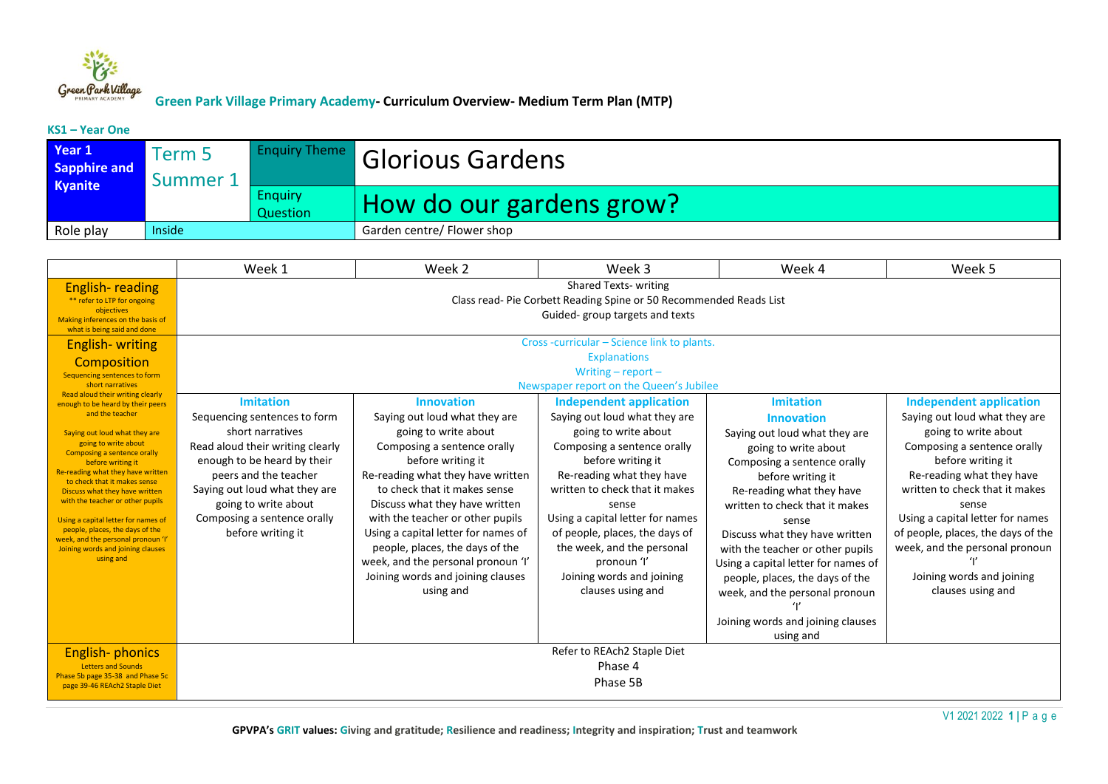

#### **KS1 – Year One**

| Year 1<br><b>Sapphire and</b><br><b>Kyanite</b> | Term 5<br>Summer 1 |                            | <b>Enquiry Theme</b> Glorious Gardens |
|-------------------------------------------------|--------------------|----------------------------|---------------------------------------|
|                                                 |                    | <b>Enquiry</b><br>Question | How do our gardens grow?              |
| Role play                                       | Inside             |                            | Garden centre/ Flower shop            |

|                                                                                                                                                                                                                                                                                                                                                                                                                                                                                       | Week 1                                                                                                                                                                                                                                                                        | Week 2                                                                                                                                                                                                                                                                                                                                                                                                                                      | Week 3                                                                                                                                                                                                                                                                                                                                                                                   | Week 4                                                                                                                                                                                                                                                                                                                                                                                                                                                         | Week 5                                                                                                                                                                                                                                                                                                                                                                            |  |
|---------------------------------------------------------------------------------------------------------------------------------------------------------------------------------------------------------------------------------------------------------------------------------------------------------------------------------------------------------------------------------------------------------------------------------------------------------------------------------------|-------------------------------------------------------------------------------------------------------------------------------------------------------------------------------------------------------------------------------------------------------------------------------|---------------------------------------------------------------------------------------------------------------------------------------------------------------------------------------------------------------------------------------------------------------------------------------------------------------------------------------------------------------------------------------------------------------------------------------------|------------------------------------------------------------------------------------------------------------------------------------------------------------------------------------------------------------------------------------------------------------------------------------------------------------------------------------------------------------------------------------------|----------------------------------------------------------------------------------------------------------------------------------------------------------------------------------------------------------------------------------------------------------------------------------------------------------------------------------------------------------------------------------------------------------------------------------------------------------------|-----------------------------------------------------------------------------------------------------------------------------------------------------------------------------------------------------------------------------------------------------------------------------------------------------------------------------------------------------------------------------------|--|
| <b>English-reading</b><br>** refer to LTP for ongoing<br>objectives<br>Making inferences on the basis of<br>what is being said and done<br><b>English-writing</b>                                                                                                                                                                                                                                                                                                                     | <b>Shared Texts- writing</b><br>Class read-Pie Corbett Reading Spine or 50 Recommended Reads List<br>Guided-group targets and texts<br>Cross-curricular - Science link to plants.                                                                                             |                                                                                                                                                                                                                                                                                                                                                                                                                                             |                                                                                                                                                                                                                                                                                                                                                                                          |                                                                                                                                                                                                                                                                                                                                                                                                                                                                |                                                                                                                                                                                                                                                                                                                                                                                   |  |
| Composition<br>Sequencing sentences to form<br>short narratives<br>Read aloud their writing clearly                                                                                                                                                                                                                                                                                                                                                                                   | <b>Explanations</b><br>Writing $-$ report $-$<br>Newspaper report on the Queen's Jubilee                                                                                                                                                                                      |                                                                                                                                                                                                                                                                                                                                                                                                                                             |                                                                                                                                                                                                                                                                                                                                                                                          |                                                                                                                                                                                                                                                                                                                                                                                                                                                                |                                                                                                                                                                                                                                                                                                                                                                                   |  |
| enough to be heard by their peers<br>and the teacher<br>Saying out loud what they are<br>going to write about<br><b>Composing a sentence orally</b><br>before writing it<br>Re-reading what they have written<br>to check that it makes sense<br>Discuss what they have written<br>with the teacher or other pupils<br>Using a capital letter for names of<br>people, places, the days of the<br>week, and the personal pronoun 'I'<br>Joining words and joining clauses<br>using and | <b>Imitation</b><br>Sequencing sentences to form<br>short narratives<br>Read aloud their writing clearly<br>enough to be heard by their<br>peers and the teacher<br>Saying out loud what they are<br>going to write about<br>Composing a sentence orally<br>before writing it | <b>Innovation</b><br>Saying out loud what they are<br>going to write about<br>Composing a sentence orally<br>before writing it<br>Re-reading what they have written<br>to check that it makes sense<br>Discuss what they have written<br>with the teacher or other pupils<br>Using a capital letter for names of<br>people, places, the days of the<br>week, and the personal pronoun 'I'<br>Joining words and joining clauses<br>using and | <b>Independent application</b><br>Saying out loud what they are<br>going to write about<br>Composing a sentence orally<br>before writing it<br>Re-reading what they have<br>written to check that it makes<br>sense<br>Using a capital letter for names<br>of people, places, the days of<br>the week, and the personal<br>pronoun 'l'<br>Joining words and joining<br>clauses using and | <b>Imitation</b><br><b>Innovation</b><br>Saying out loud what they are<br>going to write about<br>Composing a sentence orally<br>before writing it<br>Re-reading what they have<br>written to check that it makes<br>sense<br>Discuss what they have written<br>with the teacher or other pupils<br>Using a capital letter for names of<br>people, places, the days of the<br>week, and the personal pronoun<br>Joining words and joining clauses<br>using and | <b>Independent application</b><br>Saying out loud what they are<br>going to write about<br>Composing a sentence orally<br>before writing it<br>Re-reading what they have<br>written to check that it makes<br>sense<br>Using a capital letter for names<br>of people, places, the days of the<br>week, and the personal pronoun<br>Joining words and joining<br>clauses using and |  |
| <b>English-phonics</b><br><b>Letters and Sounds</b><br>Phase 5b page 35-38 and Phase 5c<br>page 39-46 REAch2 Staple Diet                                                                                                                                                                                                                                                                                                                                                              | Refer to REAch2 Staple Diet<br>Phase 4<br>Phase 5B                                                                                                                                                                                                                            |                                                                                                                                                                                                                                                                                                                                                                                                                                             |                                                                                                                                                                                                                                                                                                                                                                                          |                                                                                                                                                                                                                                                                                                                                                                                                                                                                |                                                                                                                                                                                                                                                                                                                                                                                   |  |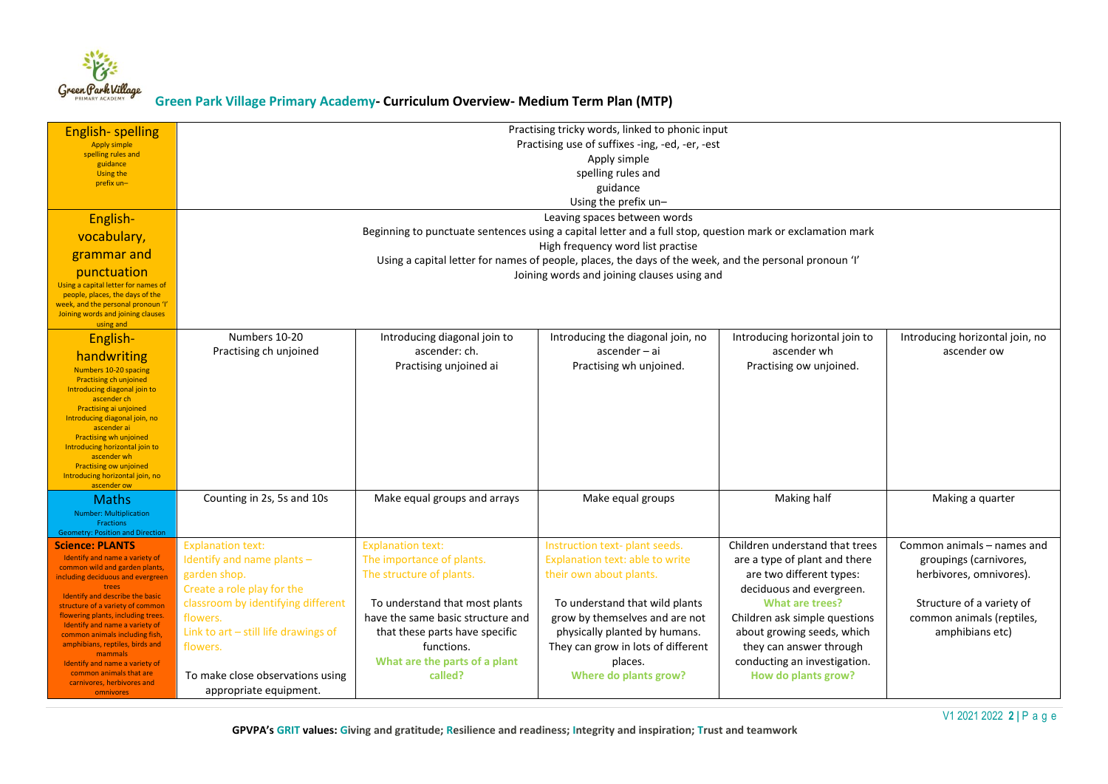

| <b>English-spelling</b><br><b>Apply simple</b><br>spelling rules and<br>guidance<br><b>Using the</b><br>prefix un-<br>English-<br>vocabulary,<br>grammar and<br>punctuation<br>Using a capital letter for names of<br>people, places, the days of the<br>week, and the personal pronoun 'I'                                                                                                                                       | Practising tricky words, linked to phonic input<br>Practising use of suffixes -ing, -ed, -er, -est<br>Apply simple<br>spelling rules and<br>guidance<br>Using the prefix un-<br>Leaving spaces between words<br>Beginning to punctuate sentences using a capital letter and a full stop, question mark or exclamation mark<br>High frequency word list practise<br>Using a capital letter for names of people, places, the days of the week, and the personal pronoun 'I'<br>Joining words and joining clauses using and |                                                                                                                                                                 |                                                                                                                                                                             |                                                                                                                                                                                              |                                                                                                     |
|-----------------------------------------------------------------------------------------------------------------------------------------------------------------------------------------------------------------------------------------------------------------------------------------------------------------------------------------------------------------------------------------------------------------------------------|--------------------------------------------------------------------------------------------------------------------------------------------------------------------------------------------------------------------------------------------------------------------------------------------------------------------------------------------------------------------------------------------------------------------------------------------------------------------------------------------------------------------------|-----------------------------------------------------------------------------------------------------------------------------------------------------------------|-----------------------------------------------------------------------------------------------------------------------------------------------------------------------------|----------------------------------------------------------------------------------------------------------------------------------------------------------------------------------------------|-----------------------------------------------------------------------------------------------------|
| Joining words and joining clauses<br>using and<br>English-<br>handwriting<br>Numbers 10-20 spacing<br><b>Practising ch unjoined</b><br>Introducing diagonal join to<br>ascender ch<br>Practising ai unjoined<br>Introducing diagonal join, no<br>ascender ai<br><b>Practising wh unjoined</b><br>Introducing horizontal join to<br>ascender wh<br><b>Practising ow unjoined</b><br>Introducing horizontal join, no<br>ascender ow | Numbers 10-20<br>Practising ch unjoined                                                                                                                                                                                                                                                                                                                                                                                                                                                                                  | Introducing diagonal join to<br>ascender: ch.<br>Practising unjoined ai                                                                                         | Introducing the diagonal join, no<br>$ascender - ai$<br>Practising wh unjoined.                                                                                             | Introducing horizontal join to<br>ascender wh<br>Practising ow unjoined.                                                                                                                     | Introducing horizontal join, no<br>ascender ow                                                      |
| <b>Maths</b><br><b>Number: Multiplication</b><br>Fractions<br><b>Geometry: Position and Direction</b><br>Science: PLANTS<br>Identify and name a variety of<br>common wild and garden plants,<br>including deciduous and evergreen                                                                                                                                                                                                 | Counting in 2s, 5s and 10s<br><b>Explanation text:</b><br>Identify and name plants -<br>garden shop.                                                                                                                                                                                                                                                                                                                                                                                                                     | Make equal groups and arrays<br><b>Explanation text:</b><br>The importance of plants.<br>The structure of plants.                                               | Make equal groups<br>Instruction text- plant seeds.<br>Explanation text: able to write<br>their own about plants.                                                           | Making half<br>Children understand that trees<br>are a type of plant and there<br>are two different types:                                                                                   | Making a quarter<br>Common animals - names and<br>groupings (carnivores,<br>herbivores, omnivores). |
| trees<br>Identify and describe the basic<br>structure of a variety of common<br>flowering plants, including trees.<br>Identify and name a variety of<br>common animals including fish,<br>amphibians, reptiles, birds and<br>mammals<br>Identify and name a variety of<br>common animals that are<br>carnivores, herbivores and<br>omnivores                                                                                      | Create a role play for the<br>classroom by identifying different<br>flowers.<br>Link to art - still life drawings of<br>flowers.<br>To make close observations using<br>appropriate equipment.                                                                                                                                                                                                                                                                                                                           | To understand that most plants<br>have the same basic structure and<br>that these parts have specific<br>functions.<br>What are the parts of a plant<br>called? | To understand that wild plants<br>grow by themselves and are not<br>physically planted by humans.<br>They can grow in lots of different<br>places.<br>Where do plants grow? | deciduous and evergreen.<br>What are trees?<br>Children ask simple questions<br>about growing seeds, which<br>they can answer through<br>conducting an investigation.<br>How do plants grow? | Structure of a variety of<br>common animals (reptiles,<br>amphibians etc)                           |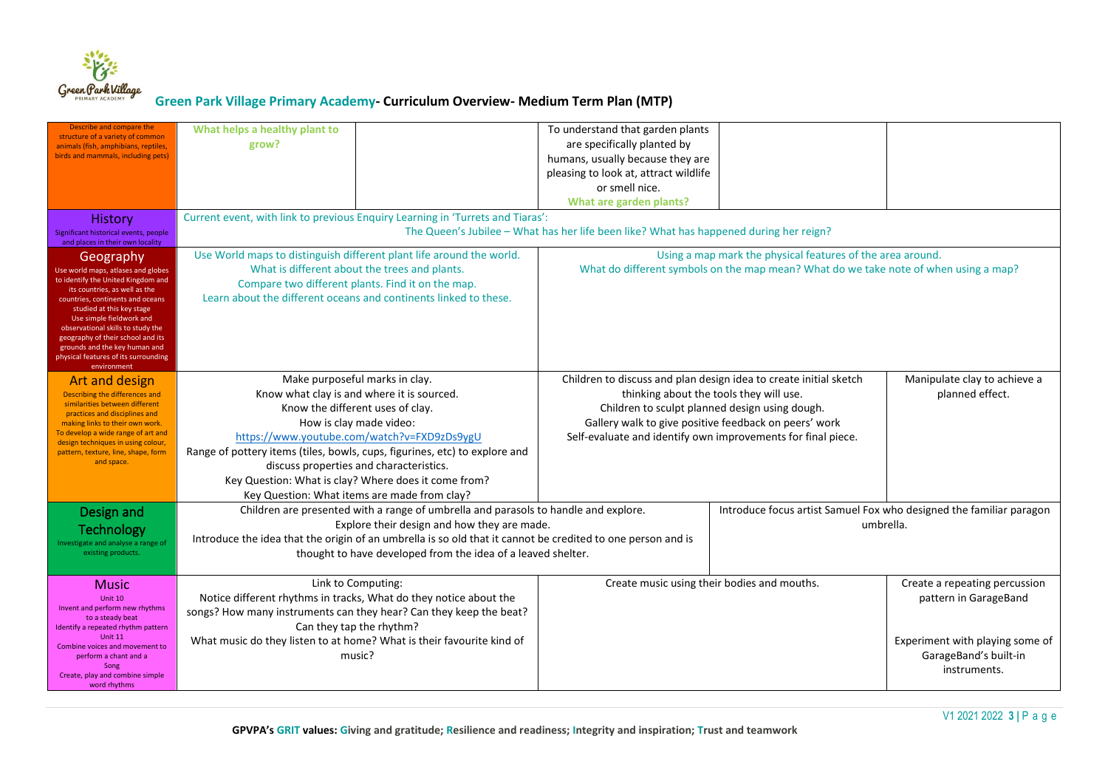

| Describe and compare the<br>structure of a variety of common<br>animals (fish, amphibians, reptiles,<br>birds and mammals, including pets)<br>History<br>Significant historical events, people<br>and places in their own locality                                                                                                                                                    | What helps a healthy plant to<br>grow?                                                                                                                                                                                                                                                                                                                                                                                      | Current event, with link to previous Enquiry Learning in 'Turrets and Tiaras': | To understand that garden plants<br>are specifically planted by<br>humans, usually because they are<br>pleasing to look at, attract wildlife<br>or smell nice.<br><b>What are garden plants?</b><br>The Queen's Jubilee - What has her life been like? What has happened during her reign? |                                                                                  |                                                                                                                                    |
|---------------------------------------------------------------------------------------------------------------------------------------------------------------------------------------------------------------------------------------------------------------------------------------------------------------------------------------------------------------------------------------|-----------------------------------------------------------------------------------------------------------------------------------------------------------------------------------------------------------------------------------------------------------------------------------------------------------------------------------------------------------------------------------------------------------------------------|--------------------------------------------------------------------------------|--------------------------------------------------------------------------------------------------------------------------------------------------------------------------------------------------------------------------------------------------------------------------------------------|----------------------------------------------------------------------------------|------------------------------------------------------------------------------------------------------------------------------------|
| Geography<br>Use world maps, atlases and globes<br>to identify the United Kingdom and<br>its countries, as well as the<br>countries, continents and oceans<br>studied at this key stage<br>Use simple fieldwork and<br>observational skills to study the<br>geography of their school and its<br>grounds and the key human and<br>physical features of its surrounding<br>environment | Use World maps to distinguish different plant life around the world.<br>What is different about the trees and plants.<br>Compare two different plants. Find it on the map.<br>Learn about the different oceans and continents linked to these.                                                                                                                                                                              |                                                                                | Using a map mark the physical features of the area around.<br>What do different symbols on the map mean? What do we take note of when using a map?                                                                                                                                         |                                                                                  |                                                                                                                                    |
| <b>Art and design</b><br>Describing the differences and<br>similarities between different<br>practices and disciplines and<br>making links to their own work.<br>To develop a wide range of art and<br>design techniques in using colour,<br>pattern, texture, line, shape, form<br>and space.                                                                                        | Make purposeful marks in clay.<br>Know what clay is and where it is sourced.<br>Know the different uses of clay.<br>How is clay made video:<br>https://www.youtube.com/watch?v=FXD9zDs9ygU<br>Range of pottery items (tiles, bowls, cups, figurines, etc) to explore and<br>discuss properties and characteristics.<br>Key Question: What is clay? Where does it come from?<br>Key Question: What items are made from clay? |                                                                                | Children to discuss and plan design idea to create initial sketch<br>thinking about the tools they will use.<br>Children to sculpt planned design using dough.<br>Gallery walk to give positive feedback on peers' work<br>Self-evaluate and identify own improvements for final piece.    |                                                                                  | Manipulate clay to achieve a<br>planned effect.                                                                                    |
| Design and<br><b>Technology</b><br>Investigate and analyse a range of<br>existing products.                                                                                                                                                                                                                                                                                           | Children are presented with a range of umbrella and parasols to handle and explore.<br>Explore their design and how they are made.<br>Introduce the idea that the origin of an umbrella is so old that it cannot be credited to one person and is<br>thought to have developed from the idea of a leaved shelter.                                                                                                           |                                                                                |                                                                                                                                                                                                                                                                                            | Introduce focus artist Samuel Fox who designed the familiar paragon<br>umbrella. |                                                                                                                                    |
| <b>Music</b><br>Unit $10$<br>Invent and perform new rhythms<br>to a steady beat<br>Identify a repeated rhythm pattern<br>Unit 11<br>Combine voices and movement to<br>perform a chant and a<br>Song<br>Create, play and combine simple<br>word rhythms                                                                                                                                | Link to Computing:<br>Notice different rhythms in tracks, What do they notice about the<br>songs? How many instruments can they hear? Can they keep the beat?<br>Can they tap the rhythm?<br>What music do they listen to at home? What is their favourite kind of<br>music?                                                                                                                                                |                                                                                | Create music using their bodies and mouths.                                                                                                                                                                                                                                                |                                                                                  | Create a repeating percussion<br>pattern in GarageBand<br>Experiment with playing some of<br>GarageBand's built-in<br>instruments. |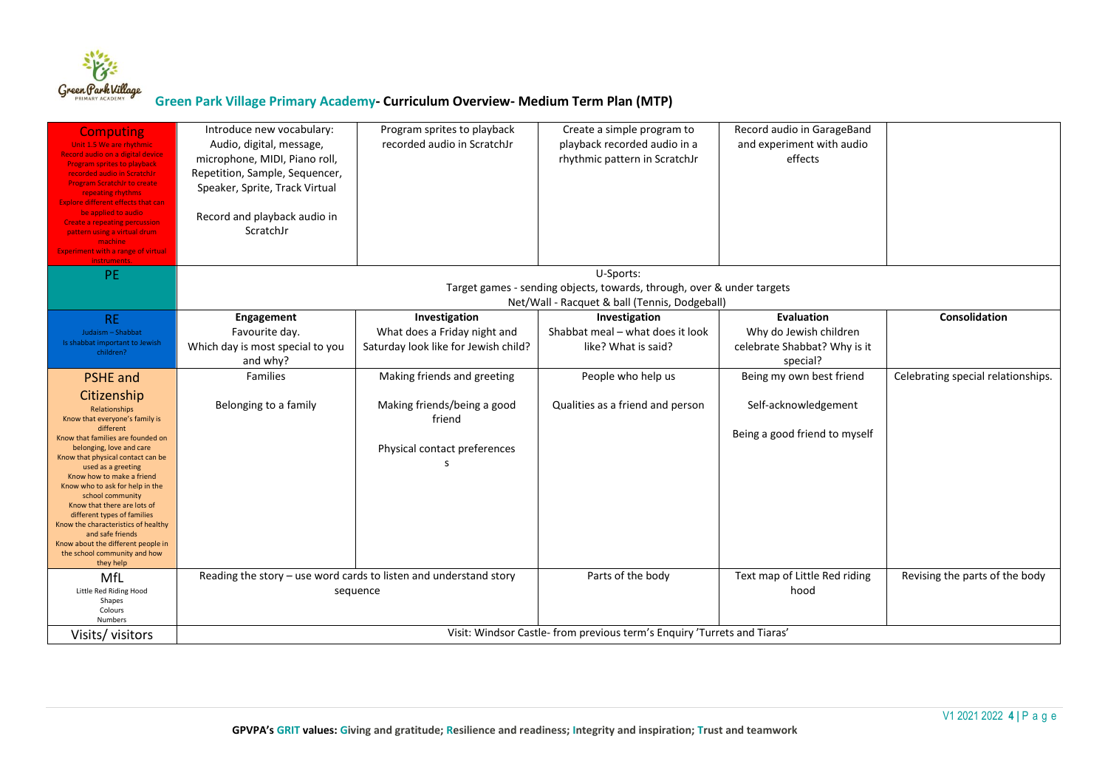

| <b>Computing</b>                                                  | Introduce new vocabulary:                                           | Program sprites to playback          | Create a simple program to                                              | Record audio in GarageBand    |                                    |
|-------------------------------------------------------------------|---------------------------------------------------------------------|--------------------------------------|-------------------------------------------------------------------------|-------------------------------|------------------------------------|
| Unit 1.5 We are rhythmic                                          | Audio, digital, message,                                            | recorded audio in ScratchJr          | playback recorded audio in a                                            | and experiment with audio     |                                    |
| Record audio on a digital device                                  | microphone, MIDI, Piano roll,                                       |                                      | rhythmic pattern in ScratchJr                                           | effects                       |                                    |
| <b>Program sprites to playback</b><br>recorded audio in ScratchJr | Repetition, Sample, Sequencer,                                      |                                      |                                                                         |                               |                                    |
| <b>Program ScratchJr to create</b>                                |                                                                     |                                      |                                                                         |                               |                                    |
| repeating rhythms                                                 | Speaker, Sprite, Track Virtual                                      |                                      |                                                                         |                               |                                    |
| <b>Explore different effects that can</b>                         |                                                                     |                                      |                                                                         |                               |                                    |
| be applied to audio<br><b>Create a repeating percussion</b>       | Record and playback audio in                                        |                                      |                                                                         |                               |                                    |
| pattern using a virtual drum                                      | ScratchJr                                                           |                                      |                                                                         |                               |                                    |
| machine                                                           |                                                                     |                                      |                                                                         |                               |                                    |
| <b>Experiment with a range of virtual</b><br>instruments          |                                                                     |                                      |                                                                         |                               |                                    |
| <b>PE</b>                                                         |                                                                     |                                      | U-Sports:                                                               |                               |                                    |
|                                                                   |                                                                     |                                      | Target games - sending objects, towards, through, over & under targets  |                               |                                    |
|                                                                   |                                                                     |                                      | Net/Wall - Racquet & ball (Tennis, Dodgeball)                           |                               |                                    |
| <b>RE</b>                                                         | Engagement                                                          | Investigation                        | Investigation                                                           | <b>Evaluation</b>             | Consolidation                      |
| Judaism - Shabbat                                                 | Favourite day.                                                      | What does a Friday night and         | Shabbat meal - what does it look                                        | Why do Jewish children        |                                    |
| Is shabbat important to Jewish                                    | Which day is most special to you                                    | Saturday look like for Jewish child? | like? What is said?                                                     | celebrate Shabbat? Why is it  |                                    |
| children?                                                         | and why?                                                            |                                      |                                                                         | special?                      |                                    |
| <b>PSHE</b> and                                                   | Families                                                            | Making friends and greeting          | People who help us                                                      | Being my own best friend      | Celebrating special relationships. |
|                                                                   |                                                                     |                                      |                                                                         |                               |                                    |
| Citizenship                                                       |                                                                     |                                      |                                                                         |                               |                                    |
| Relationships                                                     | Belonging to a family                                               | Making friends/being a good          | Qualities as a friend and person                                        | Self-acknowledgement          |                                    |
| Know that everyone's family is<br>different                       |                                                                     | friend                               |                                                                         |                               |                                    |
| Know that families are founded on                                 |                                                                     |                                      |                                                                         | Being a good friend to myself |                                    |
| belonging, love and care                                          |                                                                     | Physical contact preferences         |                                                                         |                               |                                    |
| Know that physical contact can be<br>used as a greeting           |                                                                     |                                      |                                                                         |                               |                                    |
| Know how to make a friend                                         |                                                                     |                                      |                                                                         |                               |                                    |
| Know who to ask for help in the                                   |                                                                     |                                      |                                                                         |                               |                                    |
| school community<br>Know that there are lots of                   |                                                                     |                                      |                                                                         |                               |                                    |
| different types of families                                       |                                                                     |                                      |                                                                         |                               |                                    |
| Know the characteristics of healthy                               |                                                                     |                                      |                                                                         |                               |                                    |
| and safe friends<br>Know about the different people in            |                                                                     |                                      |                                                                         |                               |                                    |
| the school community and how                                      |                                                                     |                                      |                                                                         |                               |                                    |
| they help                                                         |                                                                     |                                      |                                                                         |                               |                                    |
| MfL                                                               | Reading the story $-$ use word cards to listen and understand story |                                      | Parts of the body                                                       | Text map of Little Red riding | Revising the parts of the body     |
| Little Red Riding Hood                                            | sequence                                                            |                                      |                                                                         | hood                          |                                    |
| Shapes                                                            |                                                                     |                                      |                                                                         |                               |                                    |
| Colours<br><b>Numbers</b>                                         |                                                                     |                                      |                                                                         |                               |                                    |
| Visits/visitors                                                   |                                                                     |                                      | Visit: Windsor Castle-from previous term's Enquiry 'Turrets and Tiaras' |                               |                                    |
|                                                                   |                                                                     |                                      |                                                                         |                               |                                    |